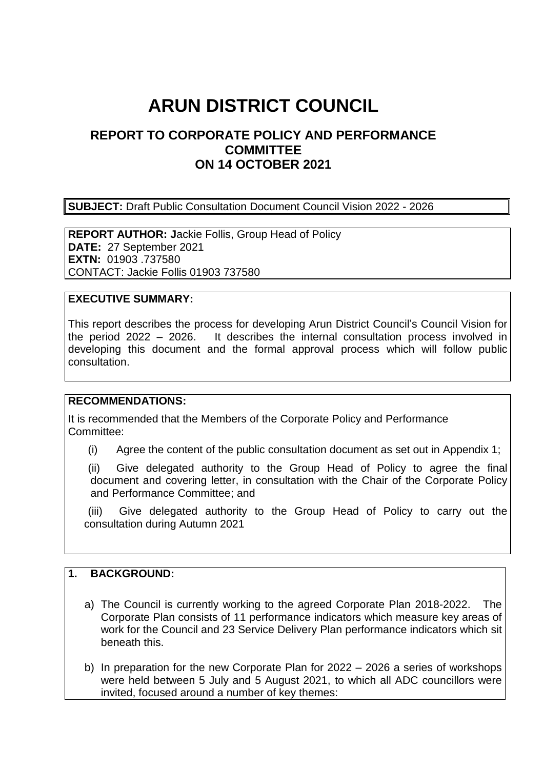# **ARUN DISTRICT COUNCIL**

## **REPORT TO CORPORATE POLICY AND PERFORMANCE COMMITTEE ON 14 OCTOBER 2021**

**SUBJECT:** Draft Public Consultation Document Council Vision 2022 - 2026

**REPORT AUTHOR: J**ackie Follis, Group Head of Policy **DATE:** 27 September 2021 **EXTN:** 01903 .737580 CONTACT: Jackie Follis 01903 737580

#### **EXECUTIVE SUMMARY:**

This report describes the process for developing Arun District Council's Council Vision for the period 2022 – 2026. It describes the internal consultation process involved in developing this document and the formal approval process which will follow public consultation.

#### **RECOMMENDATIONS:**

It is recommended that the Members of the Corporate Policy and Performance Committee:

(i) Agree the content of the public consultation document as set out in Appendix 1;

(ii) Give delegated authority to the Group Head of Policy to agree the final document and covering letter, in consultation with the Chair of the Corporate Policy and Performance Committee; and

(iii) Give delegated authority to the Group Head of Policy to carry out the consultation during Autumn 2021

#### **1. BACKGROUND:**

- a) The Council is currently working to the agreed Corporate Plan 2018-2022. The Corporate Plan consists of 11 performance indicators which measure key areas of work for the Council and 23 Service Delivery Plan performance indicators which sit beneath this.
- b) In preparation for the new Corporate Plan for 2022 2026 a series of workshops were held between 5 July and 5 August 2021, to which all ADC councillors were invited, focused around a number of key themes: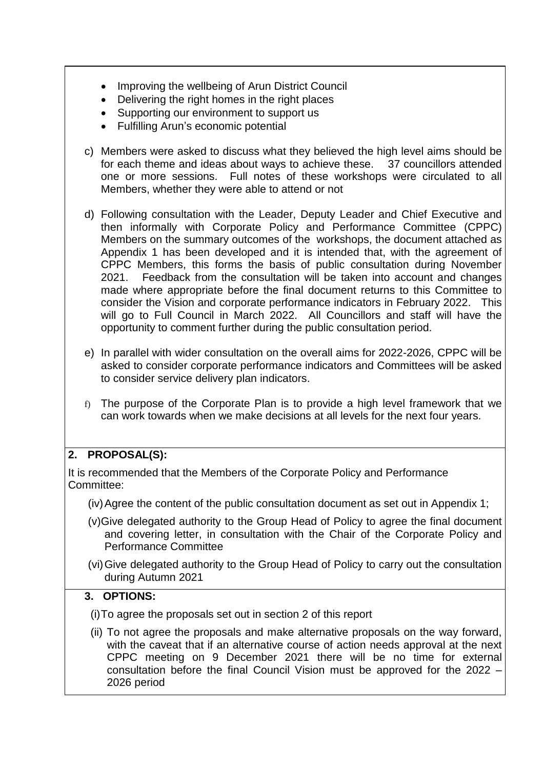- Improving the wellbeing of Arun District Council
- Delivering the right homes in the right places
- Supporting our environment to support us
- Fulfilling Arun's economic potential
- c) Members were asked to discuss what they believed the high level aims should be for each theme and ideas about ways to achieve these. 37 councillors attended one or more sessions. Full notes of these workshops were circulated to all Members, whether they were able to attend or not
- d) Following consultation with the Leader, Deputy Leader and Chief Executive and then informally with Corporate Policy and Performance Committee (CPPC) Members on the summary outcomes of the workshops, the document attached as Appendix 1 has been developed and it is intended that, with the agreement of CPPC Members, this forms the basis of public consultation during November 2021. Feedback from the consultation will be taken into account and changes made where appropriate before the final document returns to this Committee to consider the Vision and corporate performance indicators in February 2022. This will go to Full Council in March 2022. All Councillors and staff will have the opportunity to comment further during the public consultation period.
- e) In parallel with wider consultation on the overall aims for 2022-2026, CPPC will be asked to consider corporate performance indicators and Committees will be asked to consider service delivery plan indicators.
- f) The purpose of the Corporate Plan is to provide a high level framework that we can work towards when we make decisions at all levels for the next four years.

## **2. PROPOSAL(S):**

It is recommended that the Members of the Corporate Policy and Performance Committee:

- (iv)Agree the content of the public consultation document as set out in Appendix 1;
- (v)Give delegated authority to the Group Head of Policy to agree the final document and covering letter, in consultation with the Chair of the Corporate Policy and Performance Committee
- (vi)Give delegated authority to the Group Head of Policy to carry out the consultation during Autumn 2021

### **3. OPTIONS:**

(i)To agree the proposals set out in section 2 of this report

(ii) To not agree the proposals and make alternative proposals on the way forward, with the caveat that if an alternative course of action needs approval at the next CPPC meeting on 9 December 2021 there will be no time for external consultation before the final Council Vision must be approved for the 2022 – 2026 period